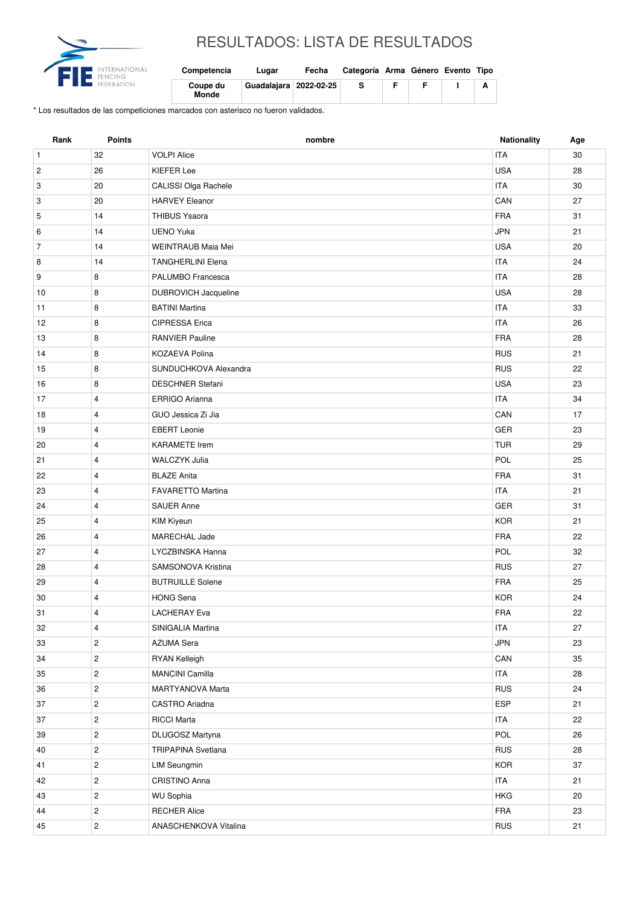

## RESULTADOS: LISTA DE RESULTADOS

| Competencia       | Lugar                    | Fecha | Categoría Arma Género Evento Tipo |  |  |
|-------------------|--------------------------|-------|-----------------------------------|--|--|
| Coupe du<br>Monde | Guadalaiara   2022-02-25 |       |                                   |  |  |

\* Los resultados de las competiciones marcados con asterisco no fueron validados.

| Rank           | <b>Points</b>  | nombre                      | <b>Nationality</b> | Age |
|----------------|----------------|-----------------------------|--------------------|-----|
| $\mathbf{1}$   | 32             | <b>VOLPI Alice</b>          | <b>ITA</b>         | 30  |
| $\overline{c}$ | 26             | <b>KIEFER Lee</b>           | <b>USA</b>         | 28  |
| 3              | 20             | CALISSI Olga Rachele        | <b>ITA</b>         | 30  |
| 3              | 20             | <b>HARVEY Eleanor</b>       | CAN                | 27  |
| 5              | 14             | <b>THIBUS Ysaora</b>        | <b>FRA</b>         | 31  |
| 6              | 14             | <b>UENO Yuka</b>            | <b>JPN</b>         | 21  |
| $\overline{7}$ | 14             | WEINTRAUB Maia Mei          | <b>USA</b>         | 20  |
| 8              | 14             | <b>TANGHERLINI Elena</b>    | <b>ITA</b>         | 24  |
| 9              | 8              | PALUMBO Francesca           | <b>ITA</b>         | 28  |
| 10             | 8              | <b>DUBROVICH Jacqueline</b> | <b>USA</b>         | 28  |
| 11             | 8              | <b>BATINI Martina</b>       | <b>ITA</b>         | 33  |
| 12             | 8              | <b>CIPRESSA Erica</b>       | <b>ITA</b>         | 26  |
| 13             | 8              | <b>RANVIER Pauline</b>      | <b>FRA</b>         | 28  |
| 14             | 8              | <b>KOZAEVA Polina</b>       | <b>RUS</b>         | 21  |
| 15             | 8              | SUNDUCHKOVA Alexandra       | <b>RUS</b>         | 22  |
| 16             | 8              | <b>DESCHNER Stefani</b>     | <b>USA</b>         | 23  |
| 17             | $\overline{4}$ | <b>ERRIGO Arianna</b>       | <b>ITA</b>         | 34  |
| 18             | $\overline{4}$ | GUO Jessica Zi Jia          | CAN                | 17  |
| 19             | $\overline{4}$ | <b>EBERT Leonie</b>         | <b>GER</b>         | 23  |
| 20             | $\overline{4}$ | <b>KARAMETE</b> Irem        | <b>TUR</b>         | 29  |
| 21             | 4              | <b>WALCZYK Julia</b>        | POL                | 25  |
| 22             | $\overline{4}$ | <b>BLAZE Anita</b>          | <b>FRA</b>         | 31  |
| 23             | 4              | <b>FAVARETTO Martina</b>    | <b>ITA</b>         | 21  |
| 24             | $\overline{4}$ | <b>SAUER Anne</b>           | <b>GER</b>         | 31  |
| 25             | 4              | <b>KIM Kiyeun</b>           | <b>KOR</b>         | 21  |
| 26             | $\overline{4}$ | <b>MARECHAL Jade</b>        | <b>FRA</b>         | 22  |
| 27             | $\overline{4}$ | LYCZBINSKA Hanna            | <b>POL</b>         | 32  |
| 28             | $\overline{4}$ | SAMSONOVA Kristina          | <b>RUS</b>         | 27  |
| 29             | $\overline{4}$ | <b>BUTRUILLE Solene</b>     | <b>FRA</b>         | 25  |
| 30             | 4              | <b>HONG Sena</b>            | <b>KOR</b>         | 24  |
| 31             | 4              | <b>LACHERAY Eva</b>         | FRA                | 22  |
| 32             | 4              | SINIGALIA Martina           | <b>ITA</b>         | 27  |
| 33             | $\overline{c}$ | <b>AZUMA Sera</b>           | <b>JPN</b>         | 23  |
| 34             | $\overline{2}$ | RYAN Kelleigh               | CAN                | 35  |
| 35             | $\overline{2}$ | <b>MANCINI Camilla</b>      | <b>ITA</b>         | 28  |
| 36             | $\overline{c}$ | MARTYANOVA Marta            | <b>RUS</b>         | 24  |
| 37             | $\overline{2}$ | CASTRO Ariadna              | ESP                | 21  |
| 37             | $\overline{c}$ | <b>RICCI Marta</b>          | <b>ITA</b>         | 22  |
| 39             | $\mathbf{2}$   | DLUGOSZ Martyna             | POL                | 26  |
| 40             | $\overline{c}$ | TRIPAPINA Svetlana          | <b>RUS</b>         | 28  |
| 41             | $\mathbf{2}$   | <b>LIM Seungmin</b>         | <b>KOR</b>         | 37  |
| 42             | $\mathbf{2}$   | CRISTINO Anna               | ITA                | 21  |
| 43             | $\overline{c}$ | <b>WU Sophia</b>            | <b>HKG</b>         | 20  |
| 44             | $\mathbf 2$    | <b>RECHER Alice</b>         | FRA                | 23  |
| 45             | $\overline{c}$ | ANASCHENKOVA Vitalina       | <b>RUS</b>         | 21  |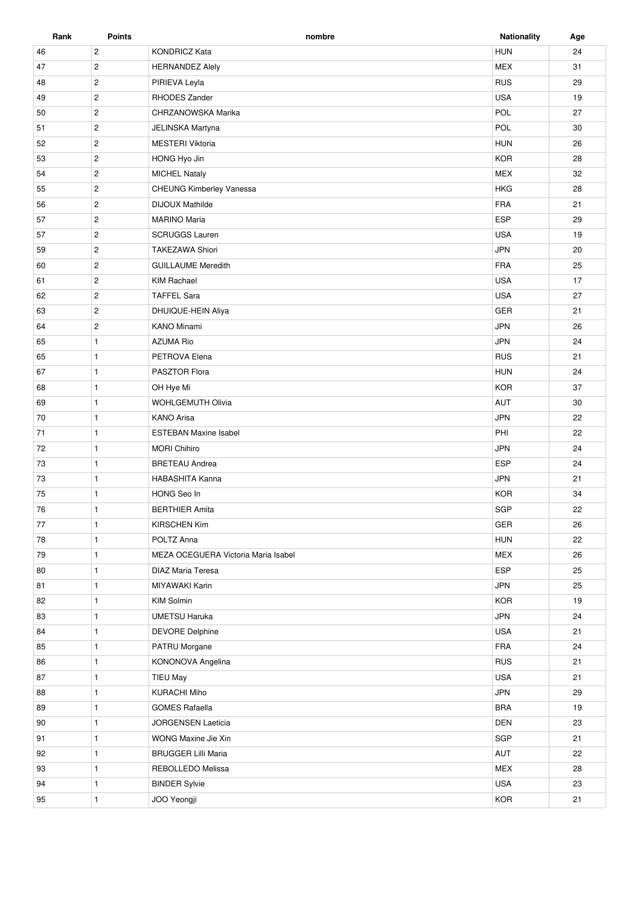| Rank | <b>Points</b>  | nombre                              | <b>Nationality</b> | Age |
|------|----------------|-------------------------------------|--------------------|-----|
| 46   | $\overline{c}$ | <b>KONDRICZ Kata</b>                | <b>HUN</b>         | 24  |
| 47   | $\mathbf{2}$   | <b>HERNANDEZ Alely</b>              | MEX                | 31  |
| 48   | $\mathbf{2}$   | PIRIEVA Leyla                       | <b>RUS</b>         | 29  |
| 49   | $\overline{c}$ | RHODES Zander                       | <b>USA</b>         | 19  |
| 50   | $\mathbf{2}$   | CHRZANOWSKA Marika                  | POL                | 27  |
| 51   | $\mathbf{2}$   | JELINSKA Martyna                    | POL                | 30  |
| 52   | $\mathbf{2}$   | <b>MESTERI Viktoria</b>             | <b>HUN</b>         | 26  |
| 53   | $\overline{2}$ | HONG Hyo Jin                        | <b>KOR</b>         | 28  |
| 54   | $\overline{2}$ | <b>MICHEL Nataly</b>                | <b>MEX</b>         | 32  |
| 55   | $\overline{2}$ | CHEUNG Kimberley Vanessa            | <b>HKG</b>         | 28  |
| 56   | $\overline{c}$ | <b>DIJOUX Mathilde</b>              | FRA                | 21  |
| 57   | $\overline{2}$ | <b>MARINO Maria</b>                 | ESP                | 29  |
| 57   | $\overline{2}$ | <b>SCRUGGS Lauren</b>               | <b>USA</b>         | 19  |
| 59   | $\mathbf{2}$   | <b>TAKEZAWA Shiori</b>              | <b>JPN</b>         | 20  |
| 60   | $\mathbf{2}$   | <b>GUILLAUME Meredith</b>           | <b>FRA</b>         | 25  |
| 61   | $\overline{c}$ | <b>KIM Rachael</b>                  | <b>USA</b>         | 17  |
| 62   | $\overline{c}$ | <b>TAFFEL Sara</b>                  | <b>USA</b>         | 27  |
| 63   | $\overline{c}$ | DHUIQUE-HEIN Aliya                  | GER                | 21  |
| 64   | $\overline{2}$ | <b>KANO Minami</b>                  | JPN                | 26  |
| 65   | $\mathbf{1}$   | <b>AZUMA Rio</b>                    | <b>JPN</b>         | 24  |
| 65   | $\mathbf{1}$   | PETROVA Elena                       | <b>RUS</b>         | 21  |
| 67   | $\mathbf{1}$   | PASZTOR Flora                       | <b>HUN</b>         | 24  |
| 68   | $\mathbf{1}$   | OH Hye Mi                           | <b>KOR</b>         | 37  |
| 69   | $\mathbf{1}$   | <b>WOHLGEMUTH Olivia</b>            | AUT                | 30  |
| 70   | $\mathbf{1}$   | <b>KANO Arisa</b>                   | <b>JPN</b>         | 22  |
| 71   | $\mathbf{1}$   | <b>ESTEBAN Maxine Isabel</b>        | PHI                | 22  |
| 72   | $\mathbf{1}$   | <b>MORI Chihiro</b>                 | <b>JPN</b>         | 24  |
| 73   | $\mathbf{1}$   | <b>BRETEAU Andrea</b>               | <b>ESP</b>         | 24  |
| 73   | $\mathbf{1}$   | <b>HABASHITA Kanna</b>              | <b>JPN</b>         | 21  |
| 75   | $\mathbf{1}$   | HONG Seo In                         | <b>KOR</b>         | 34  |
| 76   | $\mathbf{1}$   | <b>BERTHIER Amita</b>               | SGP                | 22  |
| 77   | $\mathbf{1}$   | <b>KIRSCHEN Kim</b>                 | GER                | 26  |
| 78   | $\mathbf{1}$   | POLTZ Anna                          | <b>HUN</b>         | 22  |
| 79   | $\mathbf{1}$   | MEZA OCEGUERA Victoria Maria Isabel | <b>MEX</b>         | 26  |
| 80   | $\mathbf{1}$   | DIAZ Maria Teresa                   | ESP                | 25  |
| 81   | $\mathbf{1}$   | MIYAWAKI Karin                      | <b>JPN</b>         | 25  |
| 82   | $\mathbf{1}$   | <b>KIM Solmin</b>                   | <b>KOR</b>         | 19  |
| 83   | $\mathbf{1}$   | <b>UMETSU Haruka</b>                | <b>JPN</b>         | 24  |
| 84   | $\mathbf{1}$   | <b>DEVORE Delphine</b>              | <b>USA</b>         | 21  |
| 85   | $\mathbf{1}$   | PATRU Morgane                       | FRA                | 24  |
| 86   | $\mathbf{1}$   | KONONOVA Angelina                   | <b>RUS</b>         | 21  |
| 87   | $\mathbf{1}$   | <b>TIEU May</b>                     | <b>USA</b>         | 21  |
| 88   | $\mathbf{1}$   | <b>KURACHI Miho</b>                 | <b>JPN</b>         | 29  |
| 89   | $\mathbf{1}$   | <b>GOMES Rafaella</b>               | <b>BRA</b>         | 19  |
| 90   | $\mathbf{1}$   | JORGENSEN Laeticia                  | DEN                | 23  |
| 91   | $\mathbf{1}$   | WONG Maxine Jie Xin                 | SGP                | 21  |
| 92   | $\mathbf{1}$   | <b>BRUGGER Lilli Maria</b>          | AUT                | 22  |
| 93   | $\mathbf{1}$   | REBOLLEDO Melissa                   | <b>MEX</b>         | 28  |
| 94   | $\mathbf{1}$   | <b>BINDER Sylvie</b>                | <b>USA</b>         | 23  |
| 95   | $\mathbf{1}$   | JOO Yeongji                         | <b>KOR</b>         | 21  |
|      |                |                                     |                    |     |